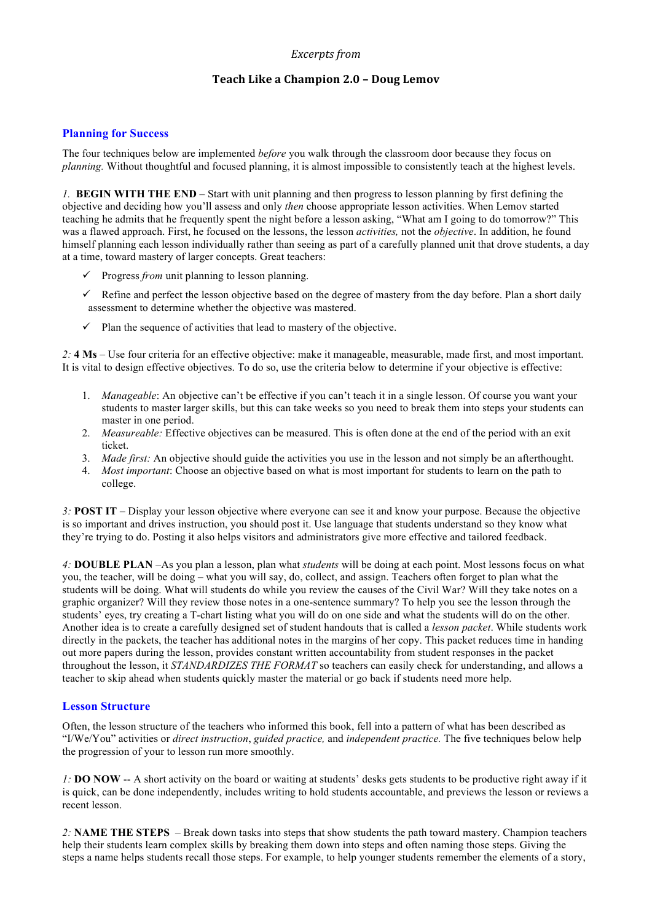## *Excerpts from*

# **Teach Like a Champion 2.0 – Doug Lemov**

### **Planning for Success**

The four techniques below are implemented *before* you walk through the classroom door because they focus on *planning.* Without thoughtful and focused planning, it is almost impossible to consistently teach at the highest levels.

*1.* **BEGIN WITH THE END** – Start with unit planning and then progress to lesson planning by first defining the objective and deciding how you'll assess and only *then* choose appropriate lesson activities. When Lemov started teaching he admits that he frequently spent the night before a lesson asking, "What am I going to do tomorrow?" This was a flawed approach. First, he focused on the lessons, the lesson *activities,* not the *objective*. In addition, he found himself planning each lesson individually rather than seeing as part of a carefully planned unit that drove students, a day at a time, toward mastery of larger concepts. Great teachers:

- $\checkmark$  Progress *from* unit planning to lesson planning.
- $\checkmark$  Refine and perfect the lesson objective based on the degree of mastery from the day before. Plan a short daily assessment to determine whether the objective was mastered.
- $\checkmark$  Plan the sequence of activities that lead to mastery of the objective.

*2:* **4 Ms** – Use four criteria for an effective objective: make it manageable, measurable, made first, and most important. It is vital to design effective objectives. To do so, use the criteria below to determine if your objective is effective:

- 1. *Manageable*: An objective can't be effective if you can't teach it in a single lesson. Of course you want your students to master larger skills, but this can take weeks so you need to break them into steps your students can master in one period.
- 2. *Measureable:* Effective objectives can be measured. This is often done at the end of the period with an exit ticket.
- 3. *Made first:* An objective should guide the activities you use in the lesson and not simply be an afterthought.
- 4. *Most important*: Choose an objective based on what is most important for students to learn on the path to college.

*3:* **POST IT** – Display your lesson objective where everyone can see it and know your purpose. Because the objective is so important and drives instruction, you should post it. Use language that students understand so they know what they're trying to do. Posting it also helps visitors and administrators give more effective and tailored feedback.

*4:* **DOUBLE PLAN** –As you plan a lesson, plan what *students* will be doing at each point. Most lessons focus on what you, the teacher, will be doing – what you will say, do, collect, and assign. Teachers often forget to plan what the students will be doing. What will students do while you review the causes of the Civil War? Will they take notes on a graphic organizer? Will they review those notes in a one-sentence summary? To help you see the lesson through the students' eyes, try creating a T-chart listing what you will do on one side and what the students will do on the other. Another idea is to create a carefully designed set of student handouts that is called a *lesson packet*. While students work directly in the packets, the teacher has additional notes in the margins of her copy. This packet reduces time in handing out more papers during the lesson, provides constant written accountability from student responses in the packet throughout the lesson, it *STANDARDIZES THE FORMAT* so teachers can easily check for understanding, and allows a teacher to skip ahead when students quickly master the material or go back if students need more help.

#### **Lesson Structure**

Often, the lesson structure of the teachers who informed this book, fell into a pattern of what has been described as "I/We/You" activities or *direct instruction*, *guided practice,* and *independent practice.* The five techniques below help the progression of your to lesson run more smoothly.

*1:* **DO NOW** -- A short activity on the board or waiting at students' desks gets students to be productive right away if it is quick, can be done independently, includes writing to hold students accountable, and previews the lesson or reviews a recent lesson.

*2:* **NAME THE STEPS** – Break down tasks into steps that show students the path toward mastery. Champion teachers help their students learn complex skills by breaking them down into steps and often naming those steps. Giving the steps a name helps students recall those steps. For example, to help younger students remember the elements of a story,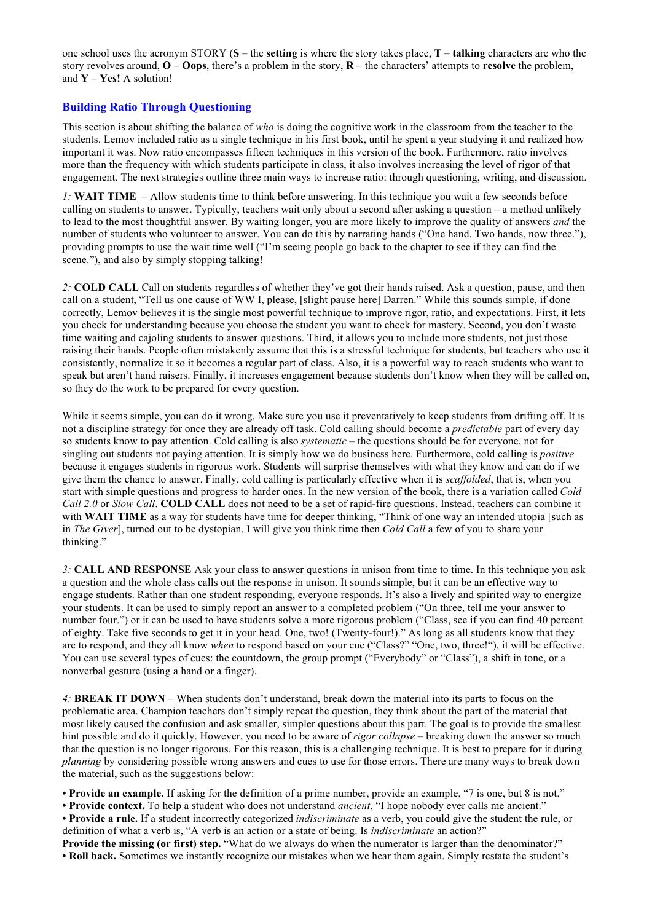one school uses the acronym STORY (**S** – the **setting** is where the story takes place, **T** – **talking** characters are who the story revolves around, **O** – **Oops**, there's a problem in the story, **R** – the characters' attempts to **resolve** the problem, and **Y** – **Yes!** A solution!

## **Building Ratio Through Questioning**

This section is about shifting the balance of *who* is doing the cognitive work in the classroom from the teacher to the students. Lemov included ratio as a single technique in his first book, until he spent a year studying it and realized how important it was. Now ratio encompasses fifteen techniques in this version of the book. Furthermore, ratio involves more than the frequency with which students participate in class, it also involves increasing the level of rigor of that engagement. The next strategies outline three main ways to increase ratio: through questioning, writing, and discussion.

*1:* **WAIT TIME** – Allow students time to think before answering. In this technique you wait a few seconds before calling on students to answer. Typically, teachers wait only about a second after asking a question – a method unlikely to lead to the most thoughtful answer. By waiting longer, you are more likely to improve the quality of answers *and* the number of students who volunteer to answer. You can do this by narrating hands ("One hand. Two hands, now three."), providing prompts to use the wait time well ("I'm seeing people go back to the chapter to see if they can find the scene."), and also by simply stopping talking!

*2:* **COLD CALL** Call on students regardless of whether they've got their hands raised. Ask a question, pause, and then call on a student, "Tell us one cause of WW I, please, [slight pause here] Darren." While this sounds simple, if done correctly, Lemov believes it is the single most powerful technique to improve rigor, ratio, and expectations. First, it lets you check for understanding because you choose the student you want to check for mastery. Second, you don't waste time waiting and cajoling students to answer questions. Third, it allows you to include more students, not just those raising their hands. People often mistakenly assume that this is a stressful technique for students, but teachers who use it consistently, normalize it so it becomes a regular part of class. Also, it is a powerful way to reach students who want to speak but aren't hand raisers. Finally, it increases engagement because students don't know when they will be called on, so they do the work to be prepared for every question.

While it seems simple, you can do it wrong. Make sure you use it preventatively to keep students from drifting off. It is not a discipline strategy for once they are already off task. Cold calling should become a *predictable* part of every day so students know to pay attention. Cold calling is also *systematic* – the questions should be for everyone, not for singling out students not paying attention. It is simply how we do business here. Furthermore, cold calling is *positive*  because it engages students in rigorous work. Students will surprise themselves with what they know and can do if we give them the chance to answer. Finally, cold calling is particularly effective when it is *scaffolded*, that is, when you start with simple questions and progress to harder ones. In the new version of the book, there is a variation called *Cold Call 2.0* or *Slow Call*. **COLD CALL** does not need to be a set of rapid-fire questions. Instead, teachers can combine it with **WAIT TIME** as a way for students have time for deeper thinking, "Think of one way an intended utopia [such as in *The Giver*], turned out to be dystopian. I will give you think time then *Cold Call* a few of you to share your thinking."

*3:* **CALL AND RESPONSE** Ask your class to answer questions in unison from time to time. In this technique you ask a question and the whole class calls out the response in unison. It sounds simple, but it can be an effective way to engage students. Rather than one student responding, everyone responds. It's also a lively and spirited way to energize your students. It can be used to simply report an answer to a completed problem ("On three, tell me your answer to number four.") or it can be used to have students solve a more rigorous problem ("Class, see if you can find 40 percent of eighty. Take five seconds to get it in your head. One, two! (Twenty-four!)." As long as all students know that they are to respond, and they all know *when* to respond based on your cue ("Class?" "One, two, three!"), it will be effective. You can use several types of cues: the countdown, the group prompt ("Everybody" or "Class"), a shift in tone, or a nonverbal gesture (using a hand or a finger).

*4:* **BREAK IT DOWN** – When students don't understand, break down the material into its parts to focus on the problematic area. Champion teachers don't simply repeat the question, they think about the part of the material that most likely caused the confusion and ask smaller, simpler questions about this part. The goal is to provide the smallest hint possible and do it quickly. However, you need to be aware of *rigor collapse* – breaking down the answer so much that the question is no longer rigorous. For this reason, this is a challenging technique. It is best to prepare for it during *planning* by considering possible wrong answers and cues to use for those errors. There are many ways to break down the material, such as the suggestions below:

**• Provide an example.** If asking for the definition of a prime number, provide an example, "7 is one, but 8 is not."

**• Provide context.** To help a student who does not understand *ancient*, "I hope nobody ever calls me ancient."

**• Provide a rule.** If a student incorrectly categorized *indiscriminate* as a verb, you could give the student the rule, or definition of what a verb is, "A verb is an action or a state of being. Is *indiscriminate* an action?"

**Provide the missing (or first) step.** "What do we always do when the numerator is larger than the denominator?" **• Roll back.** Sometimes we instantly recognize our mistakes when we hear them again. Simply restate the student's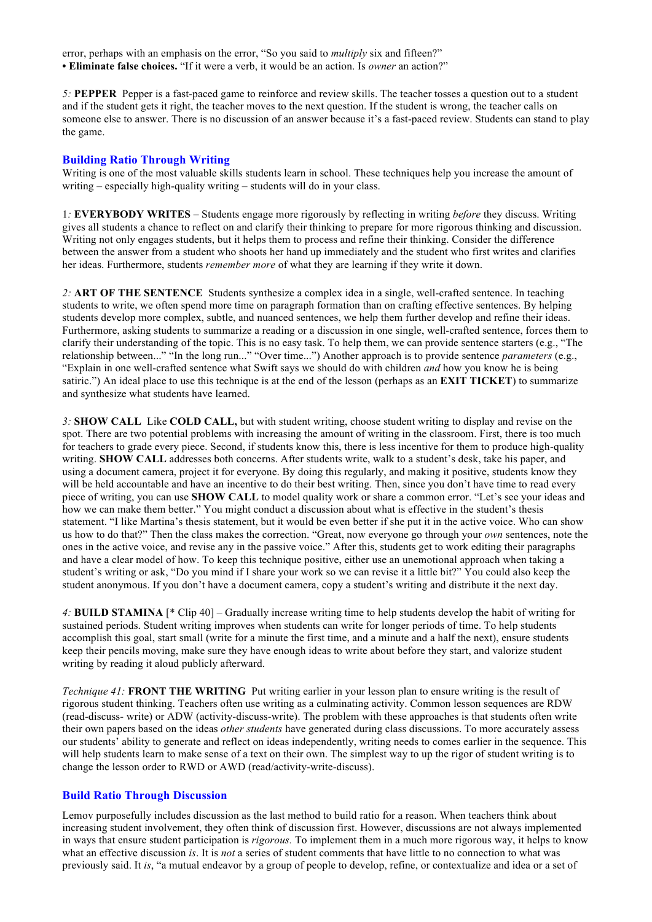error, perhaps with an emphasis on the error, "So you said to *multiply* six and fifteen?" **• Eliminate false choices.** "If it were a verb, it would be an action. Is *owner* an action?"

*5:* **PEPPER** Pepper is a fast-paced game to reinforce and review skills. The teacher tosses a question out to a student and if the student gets it right, the teacher moves to the next question. If the student is wrong, the teacher calls on someone else to answer. There is no discussion of an answer because it's a fast-paced review. Students can stand to play the game.

### **Building Ratio Through Writing**

Writing is one of the most valuable skills students learn in school. These techniques help you increase the amount of writing – especially high-quality writing – students will do in your class.

1*:* **EVERYBODY WRITES** – Students engage more rigorously by reflecting in writing *before* they discuss. Writing gives all students a chance to reflect on and clarify their thinking to prepare for more rigorous thinking and discussion. Writing not only engages students, but it helps them to process and refine their thinking. Consider the difference between the answer from a student who shoots her hand up immediately and the student who first writes and clarifies her ideas. Furthermore, students *remember more* of what they are learning if they write it down.

*2:* **ART OF THE SENTENCE** Students synthesize a complex idea in a single, well-crafted sentence. In teaching students to write, we often spend more time on paragraph formation than on crafting effective sentences. By helping students develop more complex, subtle, and nuanced sentences, we help them further develop and refine their ideas. Furthermore, asking students to summarize a reading or a discussion in one single, well-crafted sentence, forces them to clarify their understanding of the topic. This is no easy task. To help them, we can provide sentence starters (e.g., "The relationship between..." "In the long run..." "Over time...") Another approach is to provide sentence *parameters* (e.g., "Explain in one well-crafted sentence what Swift says we should do with children *and* how you know he is being satiric.") An ideal place to use this technique is at the end of the lesson (perhaps as an **EXIT TICKET**) to summarize and synthesize what students have learned.

*3:* **SHOW CALL** Like **COLD CALL,** but with student writing, choose student writing to display and revise on the spot. There are two potential problems with increasing the amount of writing in the classroom. First, there is too much for teachers to grade every piece. Second, if students know this, there is less incentive for them to produce high-quality writing. **SHOW CALL** addresses both concerns. After students write, walk to a student's desk, take his paper, and using a document camera, project it for everyone. By doing this regularly, and making it positive, students know they will be held accountable and have an incentive to do their best writing. Then, since you don't have time to read every piece of writing, you can use **SHOW CALL** to model quality work or share a common error. "Let's see your ideas and how we can make them better." You might conduct a discussion about what is effective in the student's thesis statement. "I like Martina's thesis statement, but it would be even better if she put it in the active voice. Who can show us how to do that?" Then the class makes the correction. "Great, now everyone go through your *own* sentences, note the ones in the active voice, and revise any in the passive voice." After this, students get to work editing their paragraphs and have a clear model of how. To keep this technique positive, either use an unemotional approach when taking a student's writing or ask, "Do you mind if I share your work so we can revise it a little bit?" You could also keep the student anonymous. If you don't have a document camera, copy a student's writing and distribute it the next day.

*4:* **BUILD STAMINA** [\* Clip 40] – Gradually increase writing time to help students develop the habit of writing for sustained periods. Student writing improves when students can write for longer periods of time. To help students accomplish this goal, start small (write for a minute the first time, and a minute and a half the next), ensure students keep their pencils moving, make sure they have enough ideas to write about before they start, and valorize student writing by reading it aloud publicly afterward.

*Technique 41:* **FRONT THE WRITING** Put writing earlier in your lesson plan to ensure writing is the result of rigorous student thinking. Teachers often use writing as a culminating activity. Common lesson sequences are RDW (read-discuss- write) or ADW (activity-discuss-write). The problem with these approaches is that students often write their own papers based on the ideas *other students* have generated during class discussions. To more accurately assess our students' ability to generate and reflect on ideas independently, writing needs to comes earlier in the sequence. This will help students learn to make sense of a text on their own. The simplest way to up the rigor of student writing is to change the lesson order to RWD or AWD (read/activity-write-discuss).

#### **Build Ratio Through Discussion**

Lemov purposefully includes discussion as the last method to build ratio for a reason. When teachers think about increasing student involvement, they often think of discussion first. However, discussions are not always implemented in ways that ensure student participation is *rigorous.* To implement them in a much more rigorous way, it helps to know what an effective discussion *is*. It is *not* a series of student comments that have little to no connection to what was previously said. It *is*, "a mutual endeavor by a group of people to develop, refine, or contextualize and idea or a set of